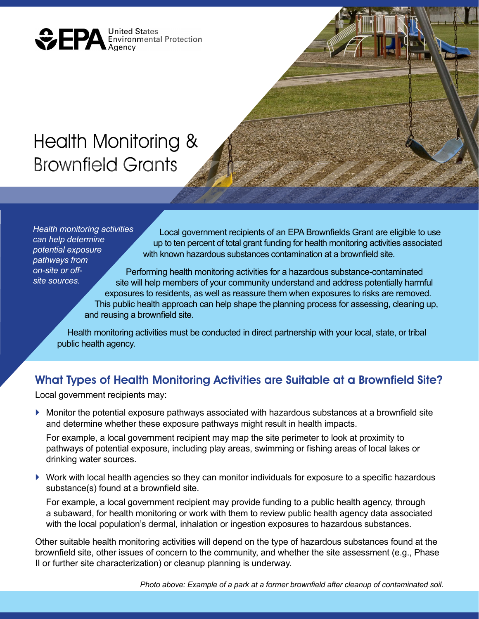**ODERA** United States<br>Environmental Protection

# Health Monitoring & Brownfield Grants

*Health monitoring activities can help determine potential exposure pathways from on-site or offsite sources.*

Local government recipients of an EPA Brownfields Grant are eligible to use up to ten percent of total grant funding for health monitoring activities associated with known hazardous substances contamination at a brownfield site.

Performing health monitoring activities for a hazardous substance-contaminated site will help members of your community understand and address potentially harmful exposures to residents, as well as reassure them when exposures to risks are removed. This public health approach can help shape the planning process for assessing, cleaning up, and reusing a brownfield site.

Health monitoring activities must be conducted in direct partnership with your local, state, or tribal public health agency.

## What Types of Health Monitoring Activities are Suitable at a Brownfield Site?

Local government recipients may:

 $\blacktriangleright$  Monitor the potential exposure pathways associated with hazardous substances at a brownfield site and determine whether these exposure pathways might result in health impacts.

For example, a local government recipient may map the site perimeter to look at proximity to pathways of potential exposure, including play areas, swimming or fishing areas of local lakes or drinking water sources.

 $\triangleright$  Work with local health agencies so they can monitor individuals for exposure to a specific hazardous substance(s) found at a brownfield site.

For example, a local government recipient may provide funding to a public health agency, through a subaward, for health monitoring or work with them to review public health agency data associated with the local population's dermal, inhalation or ingestion exposures to hazardous substances.

Other suitable health monitoring activities will depend on the type of hazardous substances found at the brownfield site, other issues of concern to the community, and whether the site assessment (e.g., Phase II or further site characterization) or cleanup planning is underway.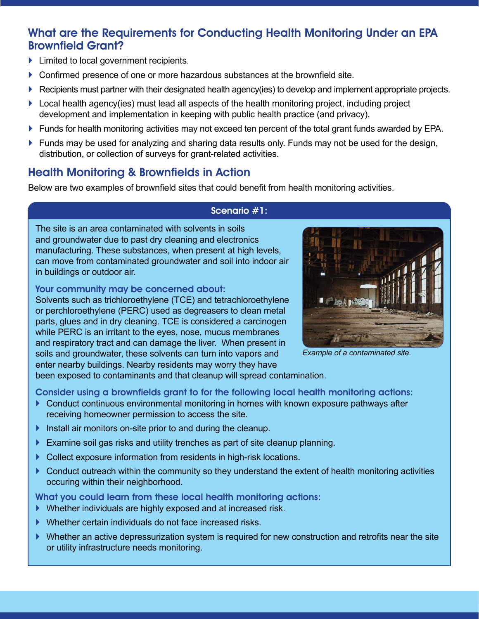# What are the Requirements for Conducting Health Monitoring Under an EPA Brownfield Grant?

- $\blacktriangleright$  Limited to local government recipients.
- ` Confirmed presence of one or more hazardous substances at the brownfield site.
- **Recipients must partner with their designated health agency(ies) to develop and implement appropriate projects.**
- $\blacktriangleright$  Local health agency(ies) must lead all aspects of the health monitoring project, including project development and implementation in keeping with public health practice (and privacy).
- ` Funds for health monitoring activities may not exceed ten percent of the total grant funds awarded by EPA.
- $\blacktriangleright$  Funds may be used for analyzing and sharing data results only. Funds may not be used for the design, distribution, or collection of surveys for grant-related activities.

# Health Monitoring & Brownfields in Action

Below are two examples of brownfield sites that could benefit from health monitoring activities.

## Scenario #1:

The site is an area contaminated with solvents in soils and groundwater due to past dry cleaning and electronics manufacturing. These substances, when present at high levels, can move from contaminated groundwater and soil into indoor air in buildings or outdoor air.

## Your community may be concerned about:

Solvents such as trichloroethylene (TCE) and tetrachloroethylene or perchloroethylene (PERC) used as degreasers to clean metal parts, glues and in dry cleaning. TCE is considered a carcinogen while PERC is an irritant to the eyes, nose, mucus membranes and respiratory tract and can damage the liver. When present in soils and groundwater, these solvents can turn into vapors and enter nearby buildings. Nearby residents may worry they have



*Example of a contaminated site.*

been exposed to contaminants and that cleanup will spread contamination.

Consider using a brownfields grant to for the following local health monitoring actions:

- $\blacktriangleright$  Conduct continuous environmental monitoring in homes with known exposure pathways after receiving homeowner permission to access the site.
- $\blacktriangleright$  Install air monitors on-site prior to and during the cleanup.
- $\blacktriangleright$  Examine soil gas risks and utility trenches as part of site cleanup planning.
- $\triangleright$  Collect exposure information from residents in high-risk locations.
- $\triangleright$  Conduct outreach within the community so they understand the extent of health monitoring activities occuring within their neighborhood.

What you could learn from these local health monitoring actions:

- ` Whether individuals are highly exposed and at increased risk.
- ` Whether certain individuals do not face increased risks.
- ` Whether an active depressurization system is required for new construction and retrofits near the site or utility infrastructure needs monitoring.